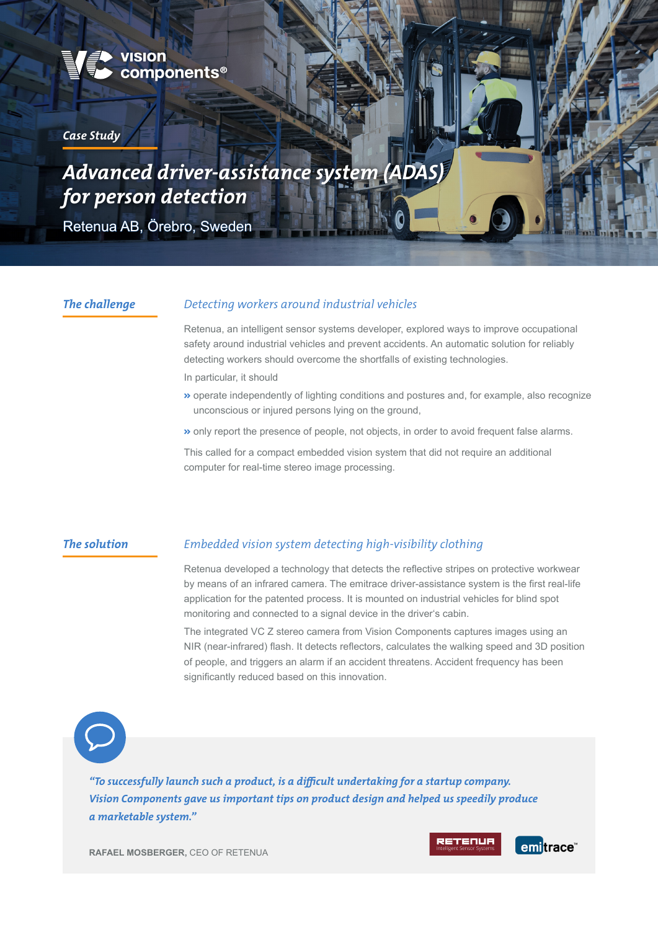

#### *Case Study*

# *Advanced driver-assistance system (ADAS) for person detection*

Retenua AB, Örebro, Sweden

#### *The challenge*

#### *Detecting workers around industrial vehicles*

Retenua, an intelligent sensor systems developer, explored ways to improve occupational safety around industrial vehicles and prevent accidents. An automatic solution for reliably detecting workers should overcome the shortfalls of existing technologies.

In particular, it should

- ù operate independently of lighting conditions and postures and, for example, also recognize unconscious or injured persons lying on the ground,
- ù only report the presence of people, not objects, in order to avoid frequent false alarms.

This called for a compact embedded vision system that did not require an additional computer for real-time stereo image processing.

#### *The solution*

#### *Embedded vision system detecting high-visibility clothing*

Retenua developed a technology that detects the reflective stripes on protective workwear by means of an infrared camera. The emitrace driver-assistance system is the first real-life application for the patented process. It is mounted on industrial vehicles for blind spot monitoring and connected to a signal device in the driver's cabin.

The integrated VC Z stereo camera from Vision Components captures images using an NIR (near-infrared) flash. It detects reflectors, calculates the walking speed and 3D position of people, and triggers an alarm if an accident threatens. Accident frequency has been significantly reduced based on this innovation.



*"To successfully launch such a product, is a difficult undertaking for a startup company. Vision Components gave us important tips on product design and helped us speedily produce a marketable system."* 

**RAFAEL MOSBERGER,** CEO OF RETENUA